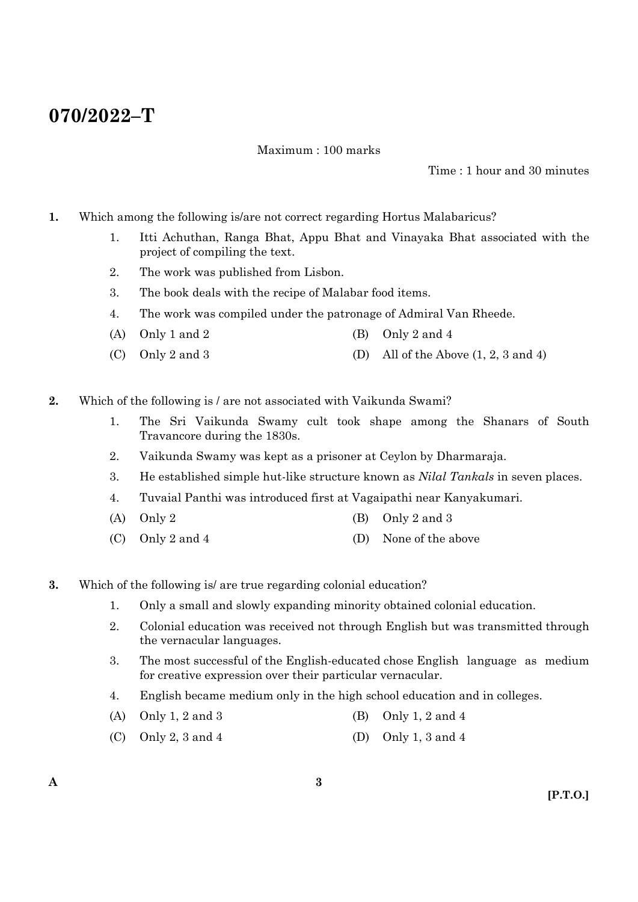# **070/2022–T**

Maximum : 100 marks

Time : 1 hour and 30 minutes

- **1.** Which among the following is/are not correct regarding Hortus Malabaricus?
	- 1. Itti Achuthan, Ranga Bhat, Appu Bhat and Vinayaka Bhat associated with the project of compiling the text.
	- 2. The work was published from Lisbon.
	- 3. The book deals with the recipe of Malabar food items.
	- 4. The work was compiled under the patronage of Admiral Van Rheede.
	- (A) Only 1 and 2 (B) Only 2 and 4
	- (C) Only 2 and 3 (D) All of the Above  $(1, 2, 3 \text{ and } 4)$
- **2.** Which of the following is / are not associated with Vaikunda Swami?
	- 1. The Sri Vaikunda Swamy cult took shape among the Shanars of South Travancore during the 1830s.
	- 2. Vaikunda Swamy was kept as a prisoner at Ceylon by Dharmaraja.
	- 3. He established simple hut-like structure known as *Nilal Tankals* in seven places.
	- 4. Tuvaial Panthi was introduced first at Vagaipathi near Kanyakumari.
	- (A) Only 2 (B) Only 2 and 3
	- (C) Only 2 and 4 (D) None of the above
- **3.** Which of the following is/ are true regarding colonial education?
	- 1. Only a small and slowly expanding minority obtained colonial education.
	- 2. Colonial education was received not through English but was transmitted through the vernacular languages.
	- 3. The most successful of the English-educated chose English language as medium for creative expression over their particular vernacular.
	- 4. English became medium only in the high school education and in colleges.
	- (A) Only 1, 2 and 3 (B) Only 1, 2 and 4
	- (C) Only 2, 3 and 4 (D) Only 1, 3 and 4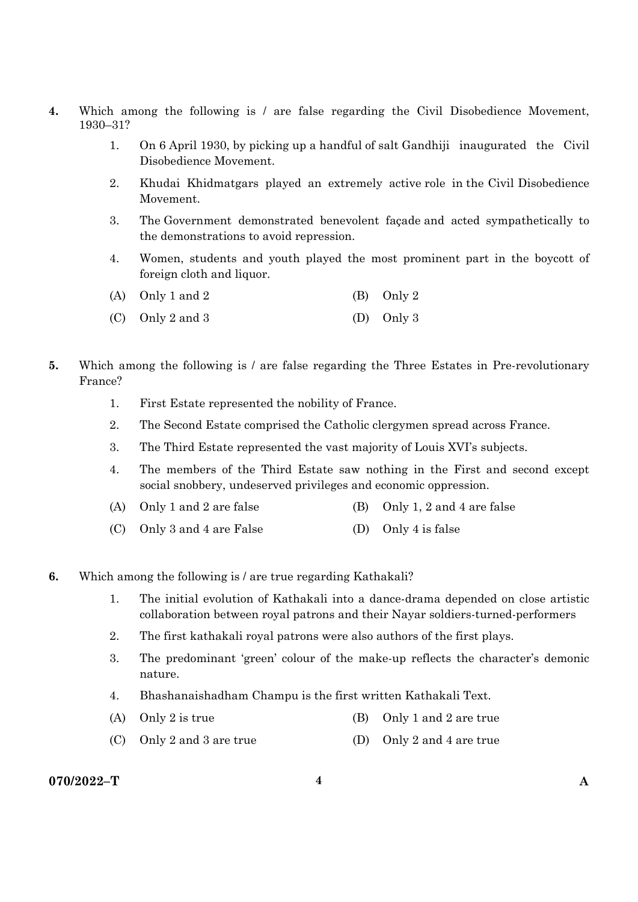- **4.** Which among the following is / are false regarding the Civil Disobedience Movement, 1930–31?
	- 1. On 6 April 1930, by picking up a handful of salt Gandhiji inaugurated the Civil Disobedience Movement.
	- 2. Khudai Khidmatgars played an extremely active role in the Civil Disobedience Movement.
	- 3. The Government demonstrated benevolent façade and acted sympathetically to the demonstrations to avoid repression.
	- 4. Women, students and youth played the most prominent part in the boycott of foreign cloth and liquor.

| (A) Only 1 and 2 | (B) Only 2 |
|------------------|------------|
|                  |            |

- (C) Only 2 and 3 (D) Only 3
- **5.** Which among the following is / are false regarding the Three Estates in Pre-revolutionary France?
	- 1. First Estate represented the nobility of France.
	- 2. The Second Estate comprised the Catholic clergymen spread across France.
	- 3. The Third Estate represented the vast majority of Louis XVI's subjects.
	- 4. The members of the Third Estate saw nothing in the First and second except social snobbery, undeserved privileges and economic oppression.
	- (A) Only 1 and 2 are false (B) Only 1, 2 and 4 are false
	- (C) Only 3 and 4 are False (D) Only 4 is false
- **6.** Which among the following is / are true regarding Kathakali?
	- 1. The initial evolution of Kathakali into a dance-drama depended on close artistic collaboration between royal patrons and their Nayar soldiers-turned-performers
	- 2. The first kathakali royal patrons were also authors of the first plays.
	- 3. The predominant 'green' colour of the make-up reflects the character's demonic nature.
	- 4. Bhashanaishadham Champu is the first written Kathakali Text.
	- (A) Only 2 is true (B) Only 1 and 2 are true
	- (C) Only 2 and 3 are true (D) Only 2 and 4 are true

### **070/2022–T 4 A**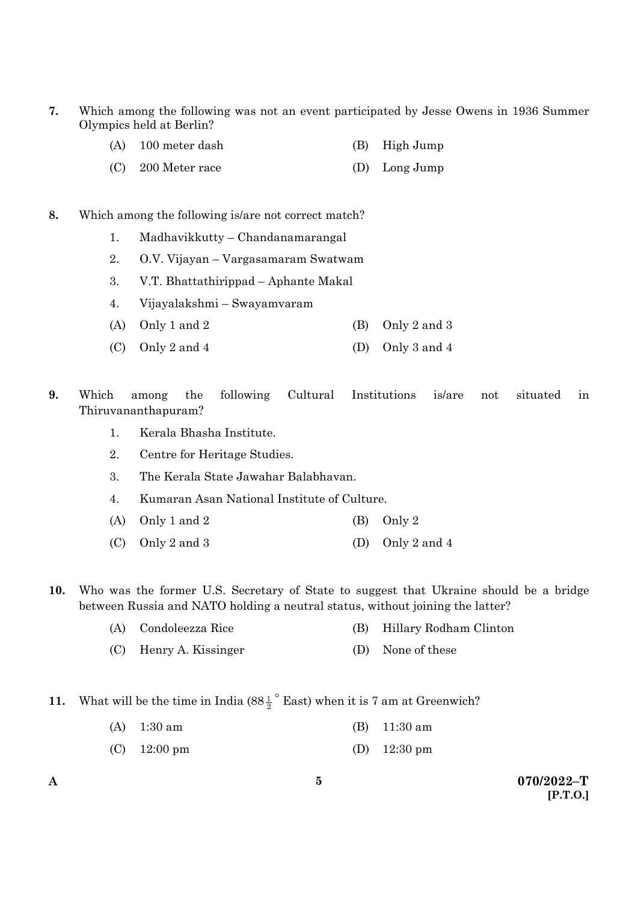- **7.** Which among the following was not an event participated by Jesse Owens in 1936 Summer Olympics held at Berlin?
	- (A) 100 meter dash (B) High Jump
	- (C) 200 Meter race (D) Long Jump

### **8.** Which among the following is/are not correct match?

- 1. Madhavikkutty Chandanamarangal
- 2. O.V. Vijayan Vargasamaram Swatwam
- 3. V.T. Bhattathirippad Aphante Makal
- 4. Vijayalakshmi Swayamvaram
- (A) Only 1 and 2 (B) Only 2 and 3
- (C) Only 2 and 4 (D) Only 3 and 4
- **9.** Which among the following Cultural Institutions is/are not situated in Thiruvananthapuram?
	- 1. Kerala Bhasha Institute.
	- 2. Centre for Heritage Studies.
	- 3. The Kerala State Jawahar Balabhavan.
	- 4. Kumaran Asan National Institute of Culture.
	- (A) Only 1 and 2 (B) Only 2
	- (C) Only 2 and 3 (D) Only 2 and 4
- **10.** Who was the former U.S. Secretary of State to suggest that Ukraine should be a bridge between Russia and NATO holding a neutral status, without joining the latter?
	- (A) Condoleezza Rice (B) Hillary Rodham Clinton
	- (C) Henry A. Kissinger (D) None of these
- **11.** What will be the time in India  $(88\frac{1}{2})^{\circ}$  East) when it is 7 am at Greenwich?
	- (A) 1:30 am (B) 11:30 am
	- (C) 12:00 pm (D) 12:30 pm
- 

**A 070/2022–T [P.T.O.]**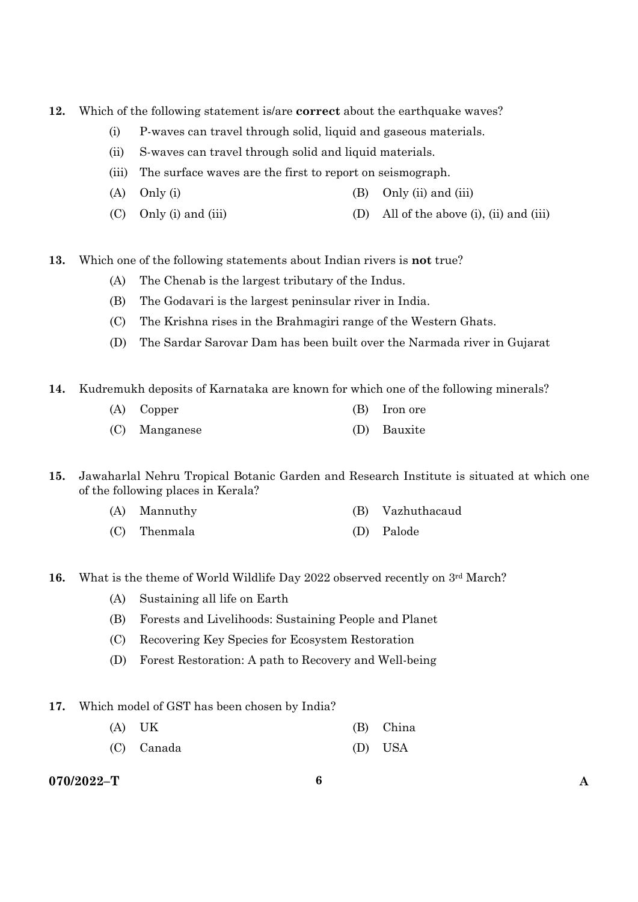- **12.** Which of the following statement is/are **correct** about the earthquake waves?
	- (i) P-waves can travel through solid, liquid and gaseous materials.
	- (ii) S-waves can travel through solid and liquid materials.
	- (iii) The surface waves are the first to report on seismograph.
	- (A) Only (i)  $(3)$  Only (ii) and (iii)
	- (C) Only (i) and (iii) (D) All of the above (i), (ii) and (iii)
- **13.** Which one of the following statements about Indian rivers is **not** true?
	- (A) The Chenab is the largest tributary of the Indus.
	- (B) The Godavari is the largest peninsular river in India.
	- (C) The Krishna rises in the Brahmagiri range of the Western Ghats.
	- (D) The Sardar Sarovar Dam has been built over the Narmada river in Gujarat
- **14.** Kudremukh deposits of Karnataka are known for which one of the following minerals?
	- (A) Copper (B) Iron ore (C) Manganese (D) Bauxite
- **15.** Jawaharlal Nehru Tropical Botanic Garden and Research Institute is situated at which one of the following places in Kerala?
	- (A) Mannuthy (B) Vazhuthacaud
	- (C) Thenmala (D) Palode
- **16.** What is the theme of World Wildlife Day 2022 observed recently on 3<sup>rd</sup> March?
	- (A) Sustaining all life on Earth
	- (B) Forests and Livelihoods: Sustaining People and Planet
	- (C) Recovering Key Species for Ecosystem Restoration
	- (D) Forest Restoration: A path to Recovery and Well-being
- **17.** Which model of GST has been chosen by India?
	- (A) UK (B) China
	- (C) Canada (D) USA

### **070/2022–T 6 A**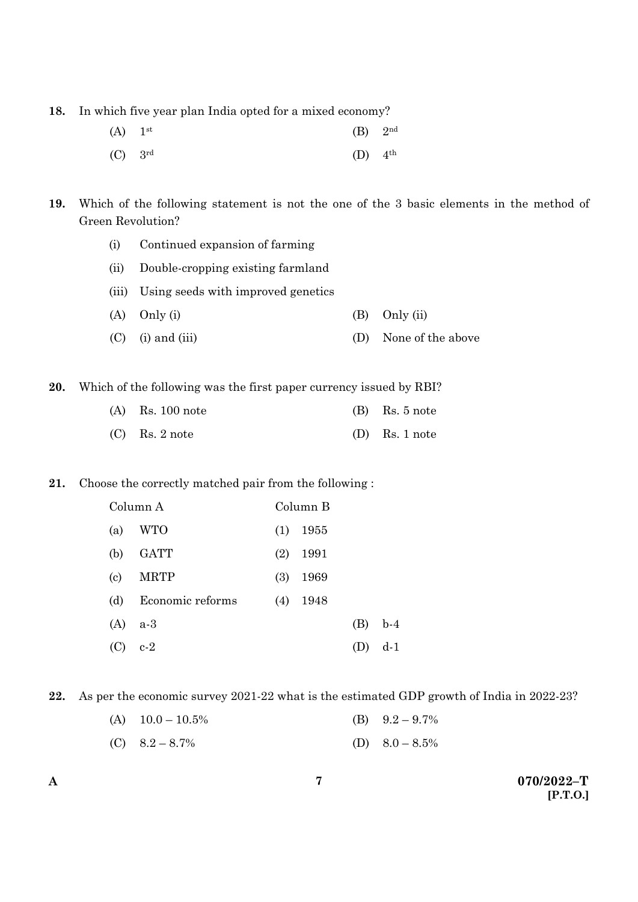**18.** In which five year plan India opted for a mixed economy?

| $(A)$ 1 <sup>st</sup> | $(B)$ 2 <sup>nd</sup> |  |
|-----------------------|-----------------------|--|
| $(C)$ 3rd             | $(D)$ 4 <sup>th</sup> |  |

**19.** Which of the following statement is not the one of the 3 basic elements in the method of Green Revolution?

- (i) Continued expansion of farming
- (ii) Double-cropping existing farmland
- (iii) Using seeds with improved genetics
- (A) Only (i) (B) Only (ii)
- (C) (i) and (iii) (D) None of the above

**20.** Which of the following was the first paper currency issued by RBI?

| $(A)$ Rs. 100 note | $(B)$ Rs. 5 note |
|--------------------|------------------|
| $(C)$ Rs. 2 note   | $(D)$ Rs. 1 note |

### **21.** Choose the correctly matched pair from the following :

|                            | Column A         |     | Column B |     |       |
|----------------------------|------------------|-----|----------|-----|-------|
| (a)                        | WTO              | (1) | 1955     |     |       |
| (b)                        | <b>GATT</b>      | (2) | 1991     |     |       |
| $\left( \mathrm{c}\right)$ | <b>MRTP</b>      | (3) | 1969     |     |       |
| (d)                        | Economic reforms | (4) | 1948     |     |       |
| (A)                        | $a-3$            |     |          | (B) | $b-4$ |
| (C)                        | $c-2$            |     |          |     | d-1   |

**22.** As per the economic survey 2021-22 what is the estimated GDP growth of India in 2022-23?

| (A) $10.0 - 10.5\%$ | (B) $9.2 - 9.7\%$ |
|---------------------|-------------------|
|                     |                   |

(C)  $8.2 - 8.7\%$  (D)  $8.0 - 8.5\%$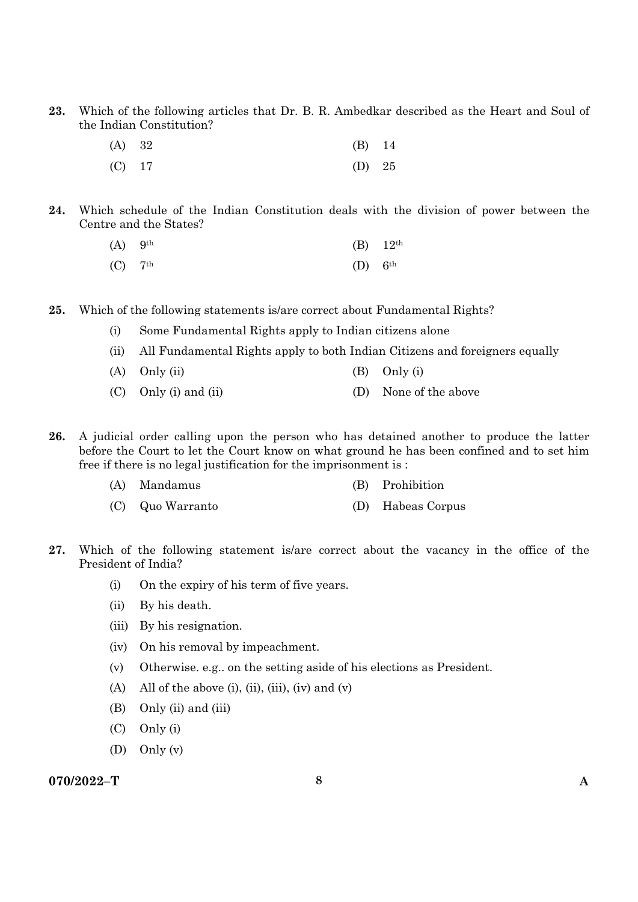**23.** Which of the following articles that Dr. B. R. Ambedkar described as the Heart and Soul of the Indian Constitution?

| (A) 32   | $(B)$ 14 |  |
|----------|----------|--|
| $(C)$ 17 | (D) $25$ |  |

**24.** Which schedule of the Indian Constitution deals with the division of power between the Centre and the States?

| $(A)$ 9 <sup>th</sup> |                       | (B) $12^{th}$ |
|-----------------------|-----------------------|---------------|
| $(C)$ 7 <sup>th</sup> | $(D)$ 6 <sup>th</sup> |               |

- **25.** Which of the following statements is/are correct about Fundamental Rights?
	- (i) Some Fundamental Rights apply to Indian citizens alone
	- (ii) All Fundamental Rights apply to both Indian Citizens and foreigners equally
	- (A)  $Only (ii)$  (B)  $Only (i)$
	- (C) Only (i) and (ii) (D) None of the above
- **26.** A judicial order calling upon the person who has detained another to produce the latter before the Court to let the Court know on what ground he has been confined and to set him free if there is no legal justification for the imprisonment is :
	- (A) Mandamus (B) Prohibition
	- (C) Quo Warranto (D) Habeas Corpus
- **27.** Which of the following statement is/are correct about the vacancy in the office of the President of India?
	- (i) On the expiry of his term of five years.
	- (ii) By his death.
	- (iii) By his resignation.
	- (iv) On his removal by impeachment.
	- (v) Otherwise. e.g.. on the setting aside of his elections as President.
	- (A) All of the above (i), (ii), (iii), (iv) and (v)
	- (B) Only (ii) and (iii)
	- (C) Only (i)
	- (D) Only (v)

### **070/2022–T 8 A**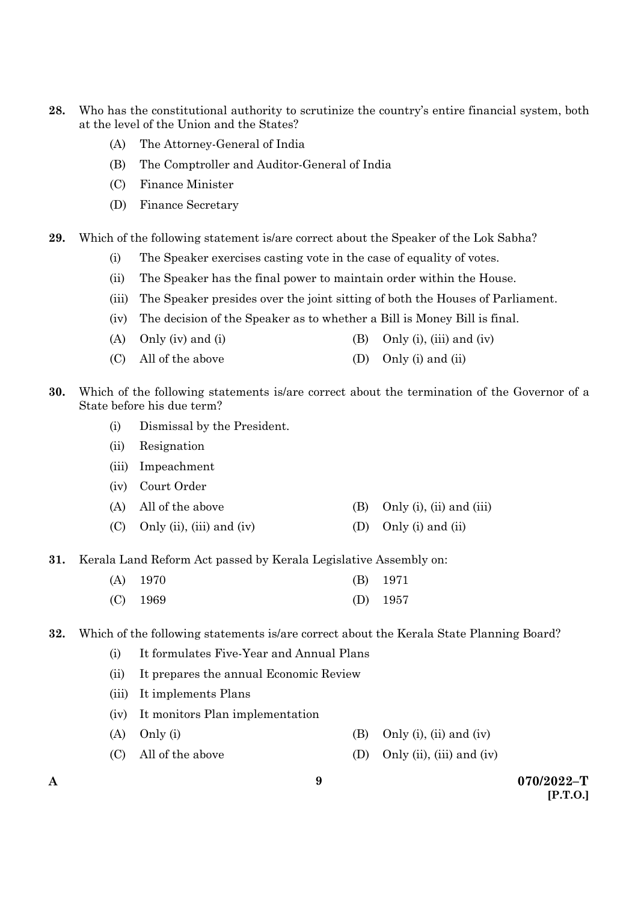- **28.** Who has the constitutional authority to scrutinize the country's entire financial system, both at the level of the Union and the States?
	- (A) The Attorney-General of India
	- (B) The Comptroller and Auditor-General of India
	- (C) Finance Minister
	- (D) Finance Secretary
- **29.** Which of the following statement is/are correct about the Speaker of the Lok Sabha?
	- (i) The Speaker exercises casting vote in the case of equality of votes.
	- (ii) The Speaker has the final power to maintain order within the House.
	- (iii) The Speaker presides over the joint sitting of both the Houses of Parliament.
	- (iv) The decision of the Speaker as to whether a Bill is Money Bill is final.
	- (A) Only (iv) and (i)  $(B)$  Only (i), (iii) and (iv)
	- (C) All of the above (D) Only (i) and (ii)
- **30.** Which of the following statements is/are correct about the termination of the Governor of a State before his due term?
	- (i) Dismissal by the President.
	- (ii) Resignation
	- (iii) Impeachment
	- (iv) Court Order
	- (A) All of the above  $(B)$  Only (i), (ii) and (iii)
	- (C) Only (ii), (iii) and (iv) (D) Only (i) and (ii)
- **31.** Kerala Land Reform Act passed by Kerala Legislative Assembly on:

| $(A)$ 1970 | $(B)$ 1971 |
|------------|------------|
| $(C)$ 1969 | (D) $1957$ |

**32.** Which of the following statements is/are correct about the Kerala State Planning Board?

- (i) It formulates Five-Year and Annual Plans
- (ii) It prepares the annual Economic Review
- (iii) It implements Plans
- (iv) It monitors Plan implementation
- (A) Only (i)  $\qquad \qquad$  (B) Only (i), (ii) and (iv)
- (C) All of the above (D) Only (ii), (iii) and (iv)
-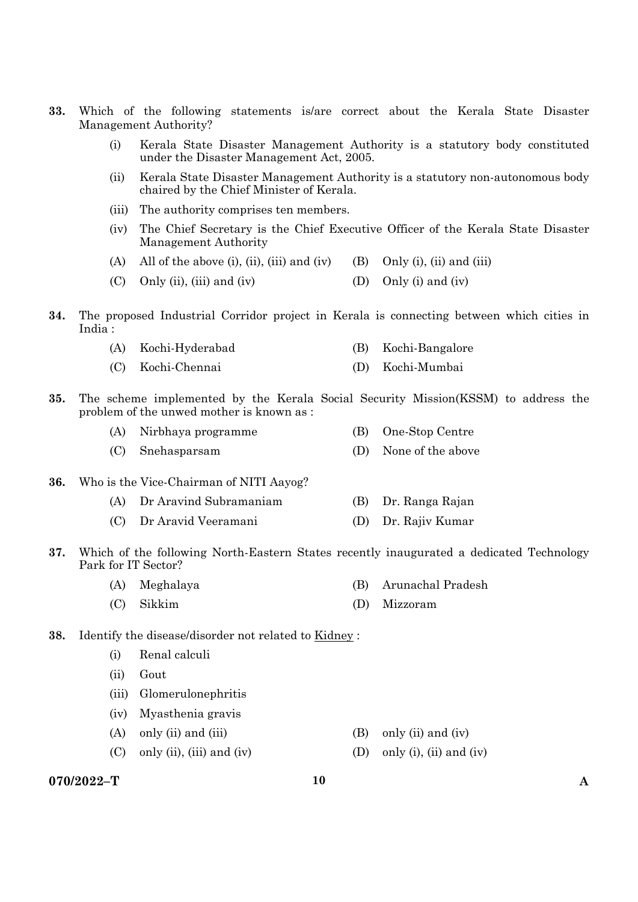- **33.** Which of the following statements is/are correct about the Kerala State Disaster Management Authority?
	- (i) Kerala State Disaster Management Authority is a statutory body constituted under the Disaster Management Act, 2005.
	- (ii) Kerala State Disaster Management Authority is a statutory non-autonomous body chaired by the Chief Minister of Kerala.
	- (iii) The authority comprises ten members.
	- (iv) The Chief Secretary is the Chief Executive Officer of the Kerala State Disaster Management Authority
	- (A) All of the above (i), (ii), (iii) and (iv) (B) Only (i), (ii) and (iii)
	- (C) Only (ii), (iii) and (iv)  $(1)$  Only (i) and (iv)
- **34.** The proposed Industrial Corridor project in Kerala is connecting between which cities in India :

|  | (A) Kochi-Hyderabad |  | (B) Kochi-Bangalore |
|--|---------------------|--|---------------------|
|--|---------------------|--|---------------------|

- (C) Kochi-Chennai (D) Kochi-Mumbai
- **35.** The scheme implemented by the Kerala Social Security Mission(KSSM) to address the problem of the unwed mother is known as :

| (A) Nirbhaya programme | (B) One-Stop Centre   |
|------------------------|-----------------------|
| (C) Snehasparsam       | (D) None of the above |

- **36.** Who is the Vice-Chairman of NITI Aayog?
	- (A) Dr Aravind Subramaniam (B) Dr. Ranga Rajan
	- (C) Dr Aravid Veeramani (D) Dr. Rajiv Kumar
- **37.** Which of the following North-Eastern States recently inaugurated a dedicated Technology Park for IT Sector?
	- (A) Meghalaya (B) Arunachal Pradesh
	- (C) Sikkim (D) Mizzoram
- **38.** Identify the disease/disorder not related to Kidney :
	- (i) Renal calculi
	- (ii) Gout
	- (iii) Glomerulonephritis
	- (iv) Myasthenia gravis
	- (A) only (ii) and (iii)  $(B)$  only (ii) and (iv)
	- (C) only (ii), (iii) and (iv) (D) only (i), (ii) and (iv)
- **070/2022–T 10 A**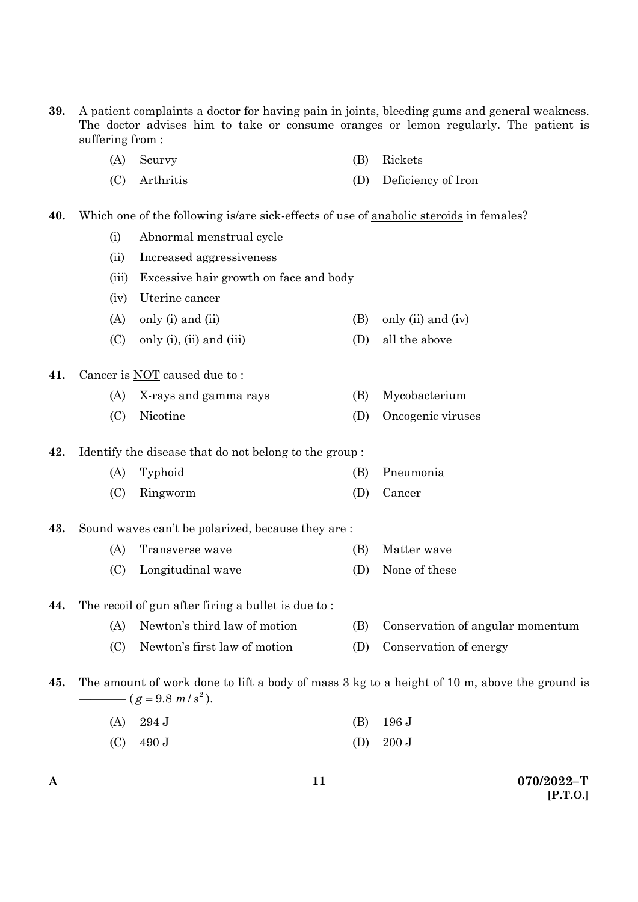- **39.** A patient complaints a doctor for having pain in joints, bleeding gums and general weakness. The doctor advises him to take or consume oranges or lemon regularly. The patient is suffering from :
	- (A) Scurvy (B) Rickets
	- (C) Arthritis (D) Deficiency of Iron
- **40.** Which one of the following is/are sick-effects of use of anabolic steroids in females?
	- (i) Abnormal menstrual cycle
	- (ii) Increased aggressiveness
	- (iii) Excessive hair growth on face and body
	- (iv) Uterine cancer
	- (A) only (i) and (ii)  $(B)$  only (ii) and (iv)
	- (C) only (i), (ii) and (iii)  $(D)$  all the above

#### **41.** Cancer is NOT caused due to :

- (A) X-rays and gamma rays (B) Mycobacterium
- (C) Nicotine (D) Oncogenic viruses

**42.** Identify the disease that do not belong to the group :

- (A) Typhoid (B) Pneumonia
- (C) Ringworm (D) Cancer

### **43.** Sound waves can't be polarized, because they are :

- (A) Transverse wave (B) Matter wave
	- (C) Longitudinal wave (D) None of these

### **44.** The recoil of gun after firing a bullet is due to :

- (A) Newton's third law of motion (B) Conservation of angular momentum
- (C) Newton's first law of motion (D) Conservation of energy
- **45.** The amount of work done to lift a body of mass 3 kg to a height of 10 m, above the ground is  $(g = 9.8 \frac{m}{s^2})$ .
	- (A) 294 J (B) 196 J
	- (C)  $490 \text{ J}$  (D)  $200 \text{ J}$

**A 070/2022–T [P.T.O.]**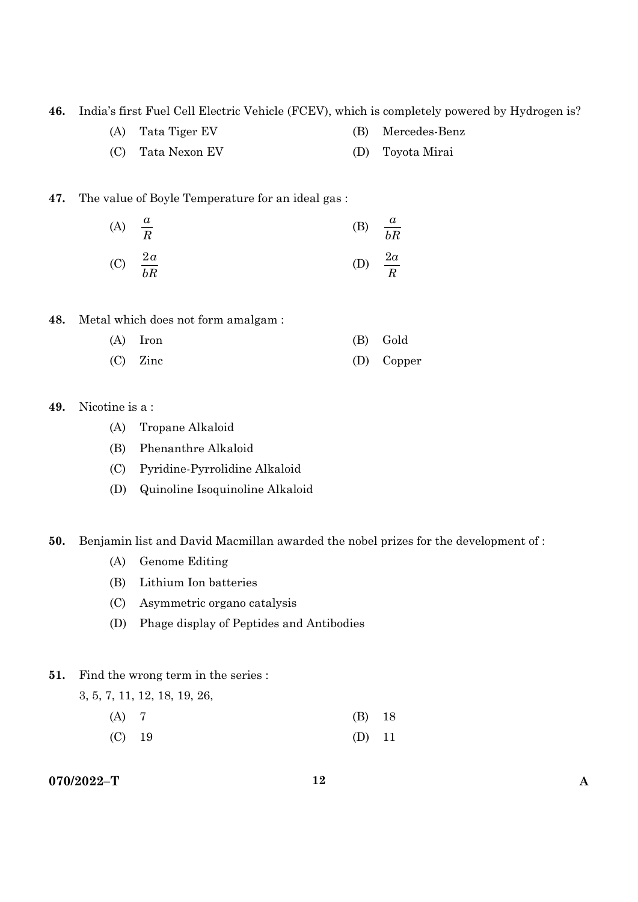**46.** India's first Fuel Cell Electric Vehicle (FCEV), which is completely powered by Hydrogen is?

- (A) Tata Tiger EV (B) Mercedes-Benz
- (C) Tata Nexon EV (D) Toyota Mirai

### **47.** The value of Boyle Temperature for an ideal gas :

(A) 
$$
\frac{a}{R}
$$
 (B)  $\frac{a}{bR}$   
(C)  $\frac{2a}{bR}$  (D)  $\frac{2a}{R}$ 

**48.** Metal which does not form amalgam :

| $(A)$ Iron | (B) Gold   |
|------------|------------|
| $(C)$ Zinc | (D) Copper |

### **49.** Nicotine is a :

- (A) Tropane Alkaloid
- (B) Phenanthre Alkaloid
- (C) Pyridine-Pyrrolidine Alkaloid
- (D) Quinoline Isoquinoline Alkaloid

### **50.** Benjamin list and David Macmillan awarded the nobel prizes for the development of :

- (A) Genome Editing
- (B) Lithium Ion batteries
- (C) Asymmetric organo catalysis
- (D) Phage display of Peptides and Antibodies

### **51.** Find the wrong term in the series :

3, 5, 7, 11, 12, 18, 19, 26,

- (A) 7 (B) 18
- (C) 19 (D) 11

## **070/2022–T 12 A**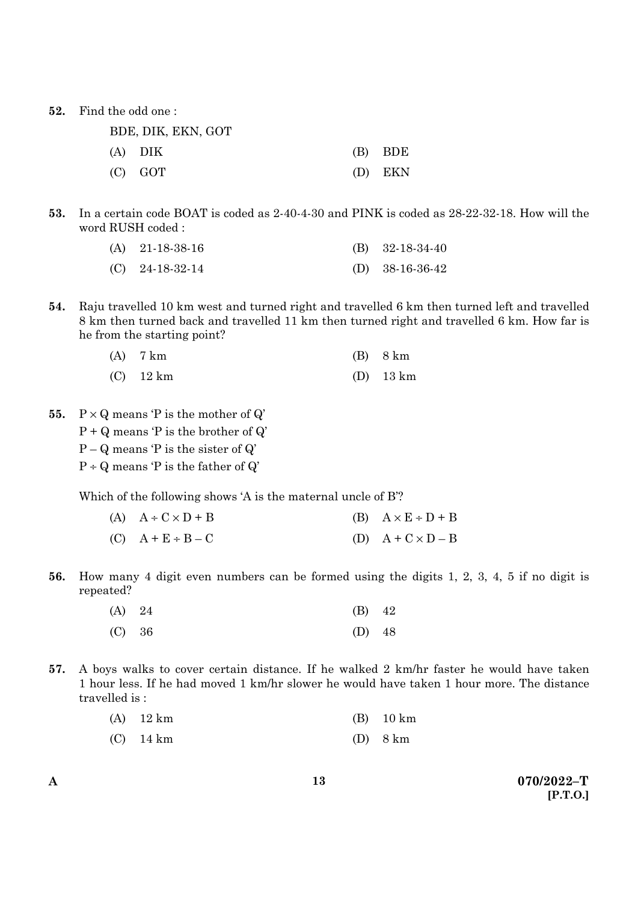**52.** Find the odd one :

| BDE, DIK, EKN, GOT |           |
|--------------------|-----------|
| (A) DIK            | $(B)$ BDE |
| $(C)$ GOT          | (D) EKN   |

**53.** In a certain code BOAT is coded as 2-40-4-30 and PINK is coded as 28-22-32-18. How will the word RUSH coded :

| (A) $21-18-38-16$ | (B) $32-18-34-40$ |
|-------------------|-------------------|
| $(C)$ 24-18-32-14 | (D) $38-16-36-42$ |

**54.** Raju travelled 10 km west and turned right and travelled 6 km then turned left and travelled 8 km then turned back and travelled 11 km then turned right and travelled 6 km. How far is he from the starting point?

| $(A)$ 7 km  | $(B)$ 8 km  |
|-------------|-------------|
| $(C)$ 12 km | $(D)$ 13 km |

- **55.**  $P \times Q$  means  $P$  is the mother of  $Q'$ 
	- $P + Q$  means  $P$  is the brother of  $Q'$
	- $P Q$  means  $P$  is the sister of  $Q'$
	- $P \div Q$  means 'P is the father of  $Q'$

Which of the following shows 'A is the maternal uncle of B'?

- (A)  $A \div C \times D + B$  (B)  $A \times E \div D + B$ (C)  $A + E \div B - C$  (D)  $A + C \times D - B$
- **56.** How many 4 digit even numbers can be formed using the digits 1, 2, 3, 4, 5 if no digit is repeated?

| (A) 24 | $(B)$ 42 |  |
|--------|----------|--|
| (C) 36 | (D) $48$ |  |

**57.** A boys walks to cover certain distance. If he walked 2 km/hr faster he would have taken 1 hour less. If he had moved 1 km/hr slower he would have taken 1 hour more. The distance travelled is :

| $(A)$ 12 km | $(B)$ 10 km |
|-------------|-------------|
| $(C)$ 14 km | $(D)$ 8 km  |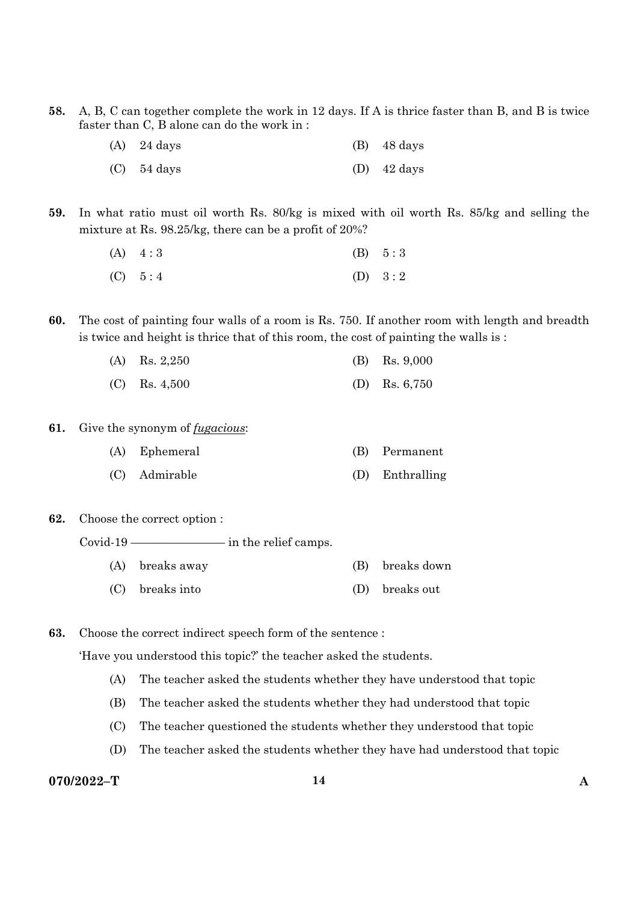**58.** A, B, C can together complete the work in 12 days. If A is thrice faster than B, and B is twice faster than C, B alone can do the work in :

| $(A)$ 24 days | $(B)$ 48 days         |
|---------------|-----------------------|
| $(C)$ 54 days | (D) $42 \text{ days}$ |

**59.** In what ratio must oil worth Rs. 80/kg is mixed with oil worth Rs. 85/kg and selling the mixture at Rs. 98.25/kg, there can be a profit of 20%?

| $(A) \quad 4:3$ | (B) 5:3   |
|-----------------|-----------|
| (C) 5:4         | (D) $3:2$ |

**60.** The cost of painting four walls of a room is Rs. 750. If another room with length and breadth is twice and height is thrice that of this room, the cost of painting the walls is :

| (A) Rs. $2,250$ | (B) Rs. $9,000$ |
|-----------------|-----------------|
| $(C)$ Rs. 4,500 | (D) Rs. $6,750$ |

- **61.** Give the synonym of *fugacious*:
	- (A) Ephemeral (B) Permanent
	- (C) Admirable (D) Enthralling
- **62.** Choose the correct option :

Covid-19 ———————— in the relief camps.

- (A) breaks away (B) breaks down
- (C) breaks into (D) breaks out

**63.** Choose the correct indirect speech form of the sentence :

'Have you understood this topic?' the teacher asked the students.

- (A) The teacher asked the students whether they have understood that topic
- (B) The teacher asked the students whether they had understood that topic
- (C) The teacher questioned the students whether they understood that topic
- (D) The teacher asked the students whether they have had understood that topic

### **070/2022–T 14 A**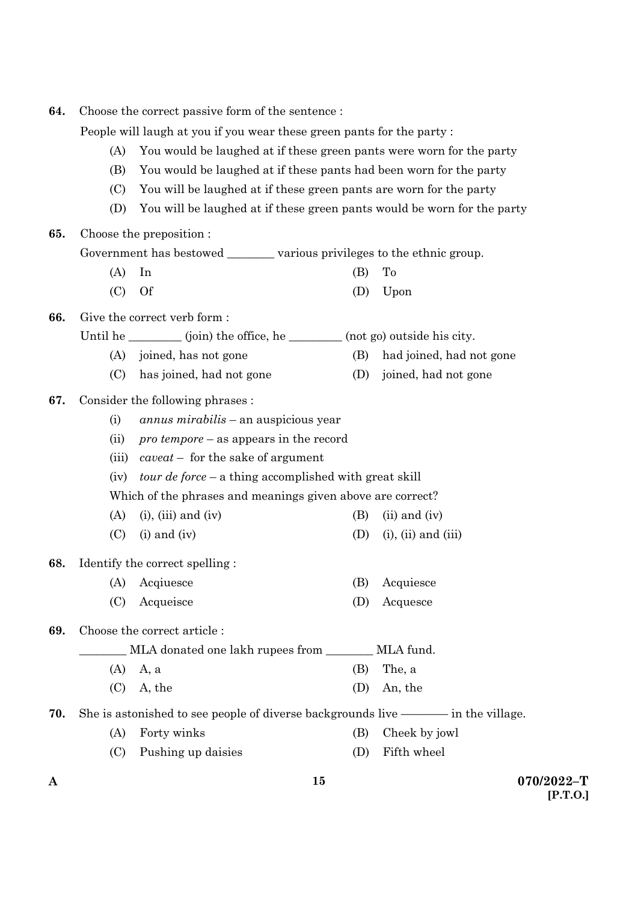| 64. | Choose the correct passive form of the sentence:                            |                                                                            |     |                            |  |
|-----|-----------------------------------------------------------------------------|----------------------------------------------------------------------------|-----|----------------------------|--|
|     | People will laugh at you if you wear these green pants for the party:       |                                                                            |     |                            |  |
|     | You would be laughed at if these green pants were worn for the party<br>(A) |                                                                            |     |                            |  |
|     | (B)<br>You would be laughed at if these pants had been worn for the party   |                                                                            |     |                            |  |
|     | (C)<br>You will be laughed at if these green pants are worn for the party   |                                                                            |     |                            |  |
|     | (D)                                                                         | You will be laughed at if these green pants would be worn for the party    |     |                            |  |
| 65. |                                                                             | Choose the preposition :                                                   |     |                            |  |
|     |                                                                             | Government has bestowed __________ various privileges to the ethnic group. |     |                            |  |
|     | (A)                                                                         | In                                                                         | (B) | To                         |  |
|     | (C)                                                                         | <b>Of</b>                                                                  | (D) | Upon                       |  |
| 66. |                                                                             | Give the correct verb form:                                                |     |                            |  |
|     |                                                                             | Until he ________ (join) the office, he _______ (not go) outside his city. |     |                            |  |
|     | (A)                                                                         | joined, has not gone                                                       | (B) | had joined, had not gone   |  |
|     | (C)                                                                         | has joined, had not gone                                                   | (D) | joined, had not gone       |  |
| 67. |                                                                             | Consider the following phrases :                                           |     |                            |  |
|     | (i)                                                                         | <i>annus mirabilis</i> – an auspicious year                                |     |                            |  |
|     | (ii)                                                                        | $\textit{pro temper}$ – as appears in the record                           |     |                            |  |
|     | (iii)                                                                       | $caveat$ – for the sake of argument                                        |     |                            |  |
|     | <i>tour de force</i> – a thing accomplished with great skill<br>(iv)        |                                                                            |     |                            |  |
|     | Which of the phrases and meanings given above are correct?                  |                                                                            |     |                            |  |
|     | (A)                                                                         | $(i)$ , $(iii)$ and $(iv)$                                                 | (B) | $(ii)$ and $(iv)$          |  |
|     | (C)                                                                         | $(i)$ and $(iv)$                                                           | (D) | $(i)$ , $(ii)$ and $(iii)$ |  |
| 68. |                                                                             | Identify the correct spelling:                                             |     |                            |  |
|     |                                                                             | (A) Acqiuesce                                                              | (B) | Acquiesce                  |  |
|     | (C)                                                                         | Acqueisce                                                                  | (D) | Acquesce                   |  |
| 69. |                                                                             | Choose the correct article:                                                |     |                            |  |
|     |                                                                             | MLA donated one lakh rupees from ________ MLA fund.                        |     |                            |  |
|     | (A)                                                                         | A, a                                                                       | (B) | The, a                     |  |
|     | (C)                                                                         | A, the                                                                     | (D) | An, the                    |  |
| 70. |                                                                             |                                                                            |     |                            |  |
|     | (A)                                                                         | Forty winks                                                                | (B) | Cheek by jowl              |  |
|     | (C)                                                                         | Pushing up daisies                                                         | (D) | Fifth wheel                |  |

**15**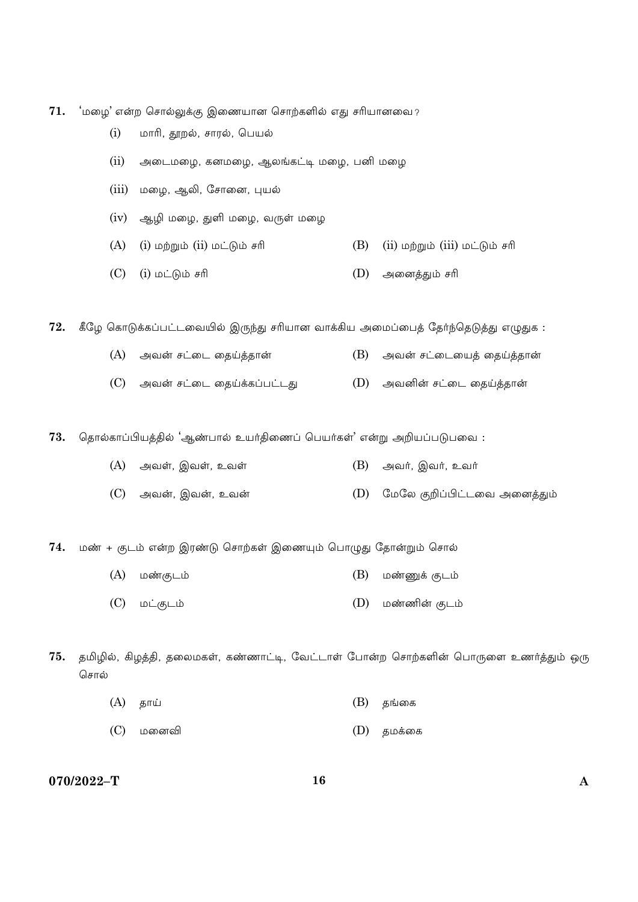$71.$  பறை' என்ற சொல்லுக்கு இணையான சொற்களில் எது சரியானவை?

- $(i)$  மாரி, தூறல், சாரல், பெயல்
- (ii) அடைமழை, கனமழை, ஆலங்கட்டி மழை, பனி மழை
- (iii) மழை, ஆலி, சோனை, புயல்
- $(iv)$  ஆழி மழை, துளி மழை, வருள் மழை
- $(A)$  (i) மற்றும் (ii) மட்டும் சரி  $(B)$  (ii) மற்றும் (iii) மட்டும் சரி
- $(C)$  (i) மட்டும் சரி (D) அனைத்தும் சரி

72. கீழே கொடுக்கப்பட்டவையில் இருந்து சரியான வாக்கிய அமைப்பைத் தேர்ந்தெடுத்து எழுதுக :

- $(A)$  அவன் சட்டை தைய்த்தான்  $(B)$  அவன் சட்டையைத் தைய்த்தான்
- $(C)$  அவன் சட்டை தைய்க்கப்பட்டது $(D)$  அவனின் சட்டை தைய்த்தான்

 $73.$  தொல்காப்பியத்தில் 'ஆண்பால் உயர்திணைப் பெயர்கள்' என்று அறியப்படுபவை :

- (A) AÁÒ, CÁÒ, EÁÒ (B) AÁº, CÁº, EÁº
- (C) AÁß, CÁß, EÁß (D) ÷©÷» SÔ¨¤mhøÁ AøÚzx®

74. மண் + குடம் என்ற இரண்டு சொற்கள் இணையும் பொழுது தோன்றும் சொல்

- (A) ©sSh® (B) ©sqU Sh®
- (C) ©mSh® (D) ©soß Sh®

 $75.$  தமிழில், கிழத்தி, தலைமகள், கண்ணாட்டி, வேட்டாள் போன்ற சொற்களின் பொருளை உணர்த்தும் ஒரு சொல்

- (A) uõ´ (B) u[øP
- (C) ©øÚÂ (D) u©UøP

**070/2022–T 16 A**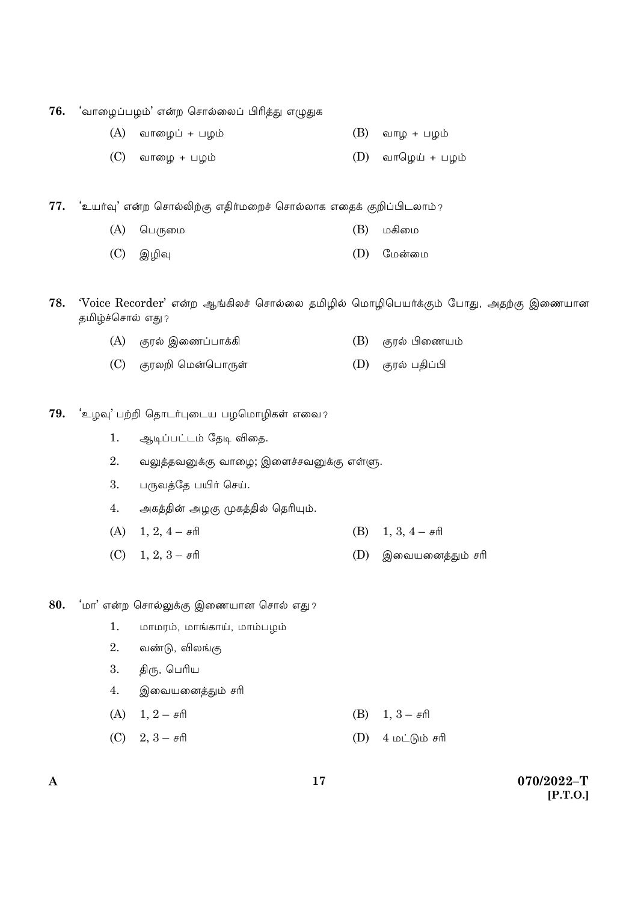76. பாழைப்பழம்' என்ற சொல்லைப் பிரித்து எழுதுக

- (A) ÁõøÇ¨ + £Ç® (B) ÁõÇ + £Ç®
- (C) ÁõøÇ + £Ç® (D) ÁõöÇ´ + £Ç®

77. 'உயர்வு' என்ற சொல்லிற்கு எதிர்மறைச் சொல்லாக எதைக் குறிப்பிடலாம்?

- (A) ö£¸ø© (B) ©Qø©
- (C) CÈÄ (D) ÷©ßø©
- 78. 'Voice Recorder' என்ற ஆங்கிலச் சொல்லை தமிழில் மொழிபெயர்க்கும் போது, அதற்கு இணையான தமிழ்ச்சொல் எது?
	- (A) SμÀ Cøn¨£õUQ (B) SμÀ ¤øn¯®
	- (C) Sμ»Ô ö©ßö£õ¸Ò (D) SμÀ £v¨¤

79. **'**உழவு' பற்றி தொடர்புடைய பழமொழிகள் எவை?

1. ஆடிப்பட்டம் தேடி விதை.

 $2.$  வலுத்தவனுக்கு வாழை; இளைச்சவனுக்கு எள்ளு.

 $3.$  பருவத்தே பயிர் செய்.

4. அகத்தின் அழகு முகத்தில் தெரியும்.

- (A)  $1, 2, 4 \pi \mathbb{R}$  (B)  $1, 3, 4 \pi \mathbb{R}$
- (C) 1, 2, 3 \› (D) CøÁ¯øÚzx® \›

80. பா<sup>2</sup> என்ற சொல்லுக்கு இணையான சொல் எது?

- $1.$  மாமரம், மாங்காய், மாம்பழம்
- $2.$  வண்டு, விலங்கு
- 3. திரு, பெரிய
- 4. இவையனைத்தும் சரி
- (A)  $1, 2 \pi \mathbb{R}$  (B)  $1, 3 \pi \mathbb{R}$
- $(C)$  2,  $3 \pi \theta$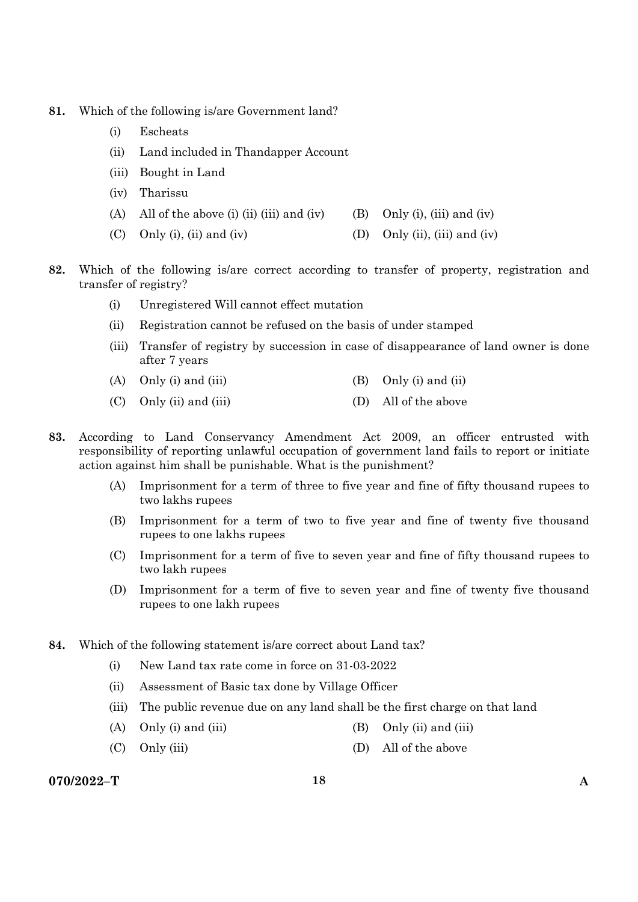- **81.** Which of the following is/are Government land?
	- (i) Escheats
	- (ii) Land included in Thandapper Account
	- (iii) Bought in Land
	- (iv) Tharissu
	- (A) All of the above (i) (ii) (iii) and (iv) (B) Only (i), (iii) and (iv)
	- (C) Only (i), (ii) and (iv) (D) Only (ii), (iii) and (iv)
- **82.** Which of the following is/are correct according to transfer of property, registration and transfer of registry?
	- (i) Unregistered Will cannot effect mutation
	- (ii) Registration cannot be refused on the basis of under stamped
	- (iii) Transfer of registry by succession in case of disappearance of land owner is done after 7 years
	- (A) Only (i) and (iii)  $(B)$  Only (i) and (ii)
	- (C) Only (ii) and (iii) (D) All of the above
- **83.** According to Land Conservancy Amendment Act 2009, an officer entrusted with responsibility of reporting unlawful occupation of government land fails to report or initiate action against him shall be punishable. What is the punishment?
	- (A) Imprisonment for a term of three to five year and fine of fifty thousand rupees to two lakhs rupees
	- (B) Imprisonment for a term of two to five year and fine of twenty five thousand rupees to one lakhs rupees
	- (C) Imprisonment for a term of five to seven year and fine of fifty thousand rupees to two lakh rupees
	- (D) Imprisonment for a term of five to seven year and fine of twenty five thousand rupees to one lakh rupees
- **84.** Which of the following statement is/are correct about Land tax?
	- (i) New Land tax rate come in force on 31-03-2022
	- (ii) Assessment of Basic tax done by Village Officer
	- (iii) The public revenue due on any land shall be the first charge on that land
	- (A) Only (i) and (iii)  $(B)$  Only (ii) and (iii)
	- (C) Only (iii) (D) All of the above

### **070/2022–T 18 A**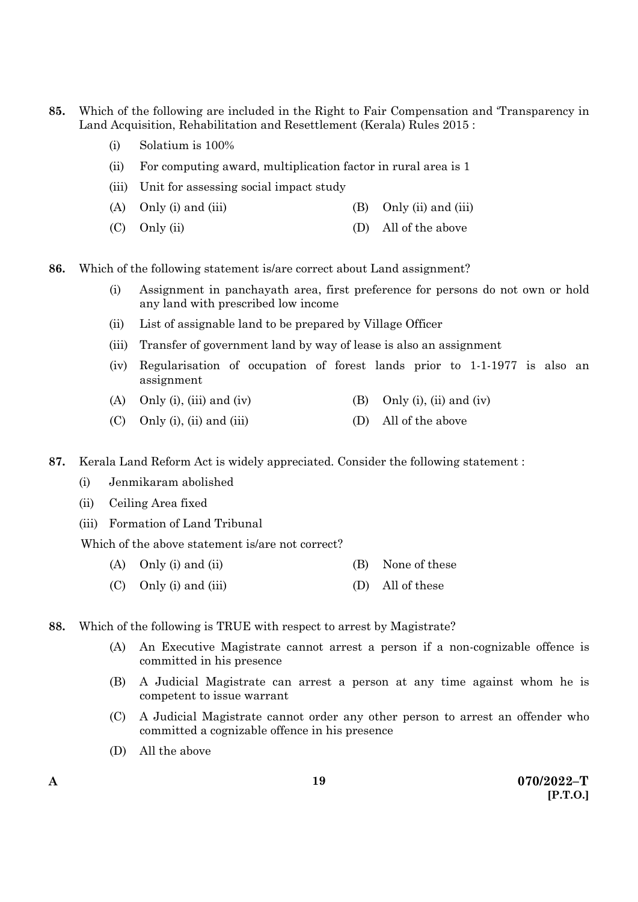- **85.** Which of the following are included in the Right to Fair Compensation and 'Transparency in Land Acquisition, Rehabilitation and Resettlement (Kerala) Rules 2015 :
	- (i) Solatium is 100%
	- (ii) For computing award, multiplication factor in rural area is 1
	- (iii) Unit for assessing social impact study
	- (A) Only (i) and (iii)  $(B)$  Only (ii) and (iii)
	- (C) Only (ii) (D) All of the above
- **86.** Which of the following statement is/are correct about Land assignment?
	- (i) Assignment in panchayath area, first preference for persons do not own or hold any land with prescribed low income
	- (ii) List of assignable land to be prepared by Village Officer
	- (iii) Transfer of government land by way of lease is also an assignment
	- (iv) Regularisation of occupation of forest lands prior to 1-1-1977 is also an assignment
	- (A) Only (i), (iii) and (iv) (B) Only (i), (ii) and (iv)
	- (C) Only (i), (ii) and (iii)  $(D)$  All of the above
- **87.** Kerala Land Reform Act is widely appreciated. Consider the following statement :
	- (i) Jenmikaram abolished
	- (ii) Ceiling Area fixed
	- (iii) Formation of Land Tribunal

Which of the above statement is/are not correct?

- (A) Only (i) and (ii)  $(B)$  None of these
- (C) Only (i) and (iii) (D) All of these
- **88.** Which of the following is TRUE with respect to arrest by Magistrate?
	- (A) An Executive Magistrate cannot arrest a person if a non-cognizable offence is committed in his presence
	- (B) A Judicial Magistrate can arrest a person at any time against whom he is competent to issue warrant
	- (C) A Judicial Magistrate cannot order any other person to arrest an offender who committed a cognizable offence in his presence
	- (D) All the above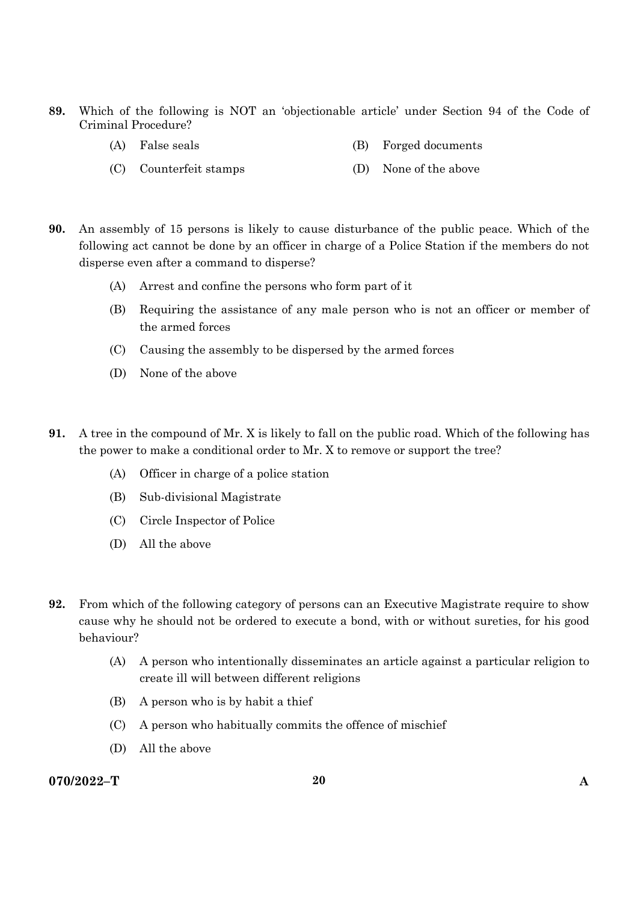- **89.** Which of the following is NOT an 'objectionable article' under Section 94 of the Code of Criminal Procedure?
	- (A) False seals (B) Forged documents
	- (C) Counterfeit stamps (D) None of the above
- **90.** An assembly of 15 persons is likely to cause disturbance of the public peace. Which of the following act cannot be done by an officer in charge of a Police Station if the members do not disperse even after a command to disperse?
	- (A) Arrest and confine the persons who form part of it
	- (B) Requiring the assistance of any male person who is not an officer or member of the armed forces
	- (C) Causing the assembly to be dispersed by the armed forces
	- (D) None of the above
- **91.** A tree in the compound of Mr. X is likely to fall on the public road. Which of the following has the power to make a conditional order to Mr. X to remove or support the tree?
	- (A) Officer in charge of a police station
	- (B) Sub-divisional Magistrate
	- (C) Circle Inspector of Police
	- (D) All the above
- **92.** From which of the following category of persons can an Executive Magistrate require to show cause why he should not be ordered to execute a bond, with or without sureties, for his good behaviour?
	- (A) A person who intentionally disseminates an article against a particular religion to create ill will between different religions
	- (B) A person who is by habit a thief
	- (C) A person who habitually commits the offence of mischief
	- (D) All the above

### **070/2022–T 20 A**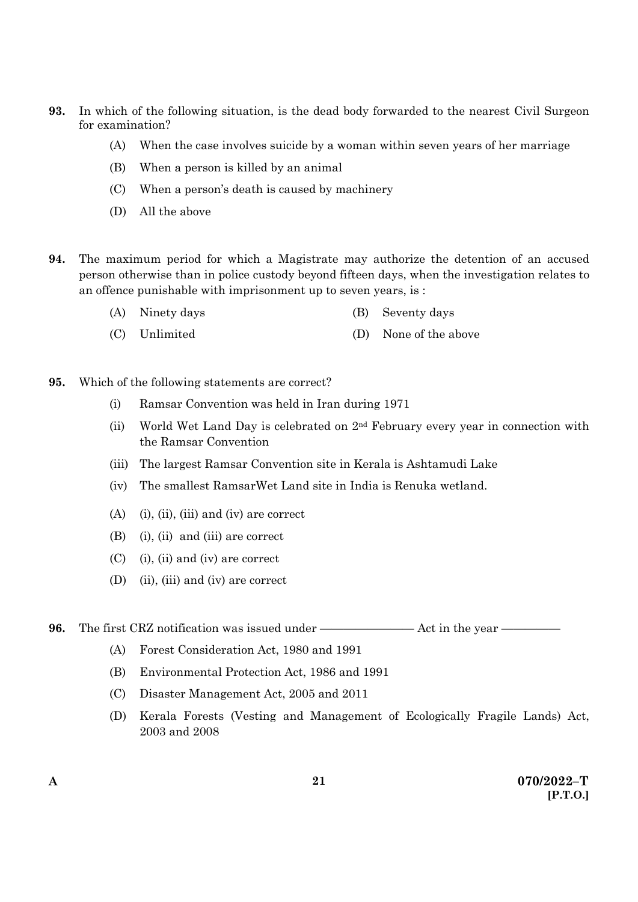- **93.** In which of the following situation, is the dead body forwarded to the nearest Civil Surgeon for examination?
	- (A) When the case involves suicide by a woman within seven years of her marriage
	- (B) When a person is killed by an animal
	- (C) When a person's death is caused by machinery
	- (D) All the above
- **94.** The maximum period for which a Magistrate may authorize the detention of an accused person otherwise than in police custody beyond fifteen days, when the investigation relates to an offence punishable with imprisonment up to seven years, is :
	- (A) Ninety days (B) Seventy days
	- (C) Unlimited (D) None of the above
- **95.** Which of the following statements are correct?
	- (i) Ramsar Convention was held in Iran during 1971
	- (ii) World Wet Land Day is celebrated on  $2<sup>nd</sup>$  February every year in connection with the Ramsar Convention
	- (iii) The largest Ramsar Convention site in Kerala is Ashtamudi Lake
	- (iv) The smallest RamsarWet Land site in India is Renuka wetland.
	- (A) (i), (ii), (iii) and (iv) are correct
	- (B) (i), (ii) and (iii) are correct
	- (C) (i), (ii) and (iv) are correct
	- (D) (ii), (iii) and (iv) are correct

**96.** The first CRZ notification was issued under ———————— Act in the year —————

- (A) Forest Consideration Act, 1980 and 1991
- (B) Environmental Protection Act, 1986 and 1991
- (C) Disaster Management Act, 2005 and 2011
- (D) Kerala Forests (Vesting and Management of Ecologically Fragile Lands) Act, 2003 and 2008

**21**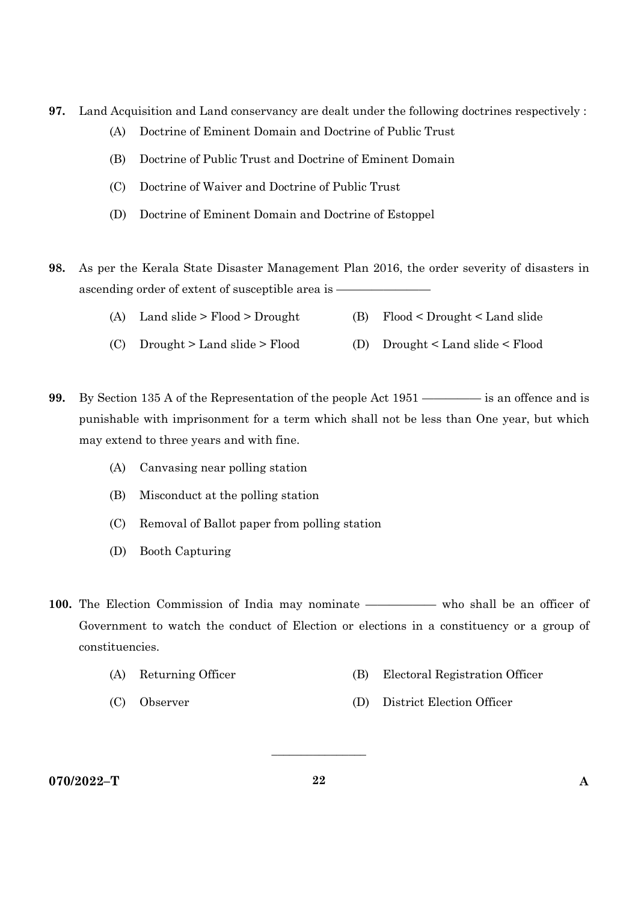- **97.** Land Acquisition and Land conservancy are dealt under the following doctrines respectively :
	- (A) Doctrine of Eminent Domain and Doctrine of Public Trust
	- (B) Doctrine of Public Trust and Doctrine of Eminent Domain
	- (C) Doctrine of Waiver and Doctrine of Public Trust
	- (D) Doctrine of Eminent Domain and Doctrine of Estoppel
- **98.** As per the Kerala State Disaster Management Plan 2016, the order severity of disasters in ascending order of extent of susceptible area is -
	- (A) Land slide > Flood > Drought (B) Flood < Drought < Land slide
	- (C) Drought > Land slide > Flood (D) Drought < Land slide < Flood
- **99.** By Section 135 A of the Representation of the people Act 1951 ————— is an offence and is punishable with imprisonment for a term which shall not be less than One year, but which may extend to three years and with fine.
	- (A) Canvasing near polling station
	- (B) Misconduct at the polling station
	- (C) Removal of Ballot paper from polling station
	- (D) Booth Capturing
- 100. The Election Commission of India may nominate —————— who shall be an officer of Government to watch the conduct of Election or elections in a constituency or a group of constituencies.
	- (A) Returning Officer (B) Electoral Registration Officer
		-
	- (C) Observer (D) District Election Officer
		-

**070/2022–T 22 A** 

 $\overline{\phantom{a}}$  , where  $\overline{\phantom{a}}$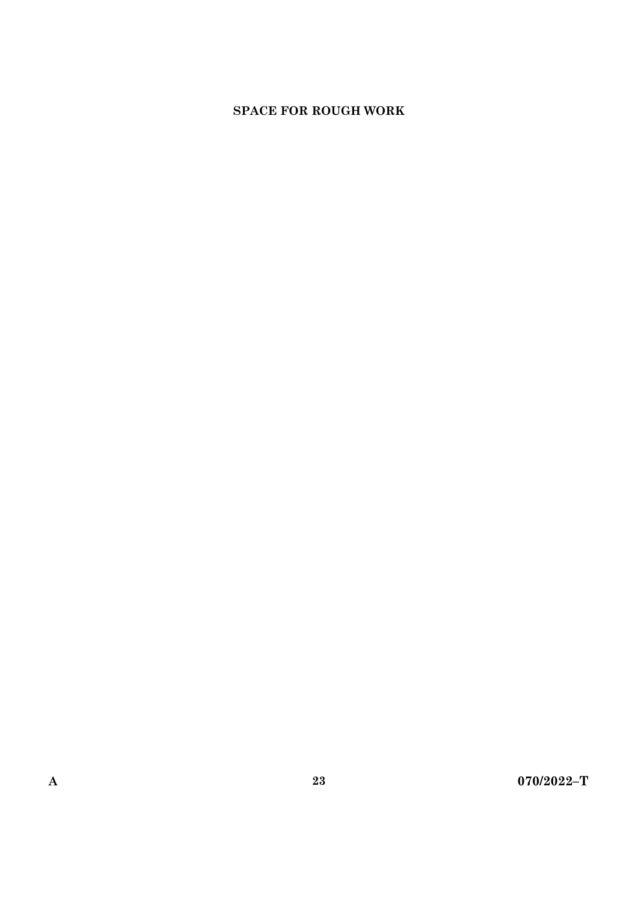# **SPACE FOR ROUGH WORK**